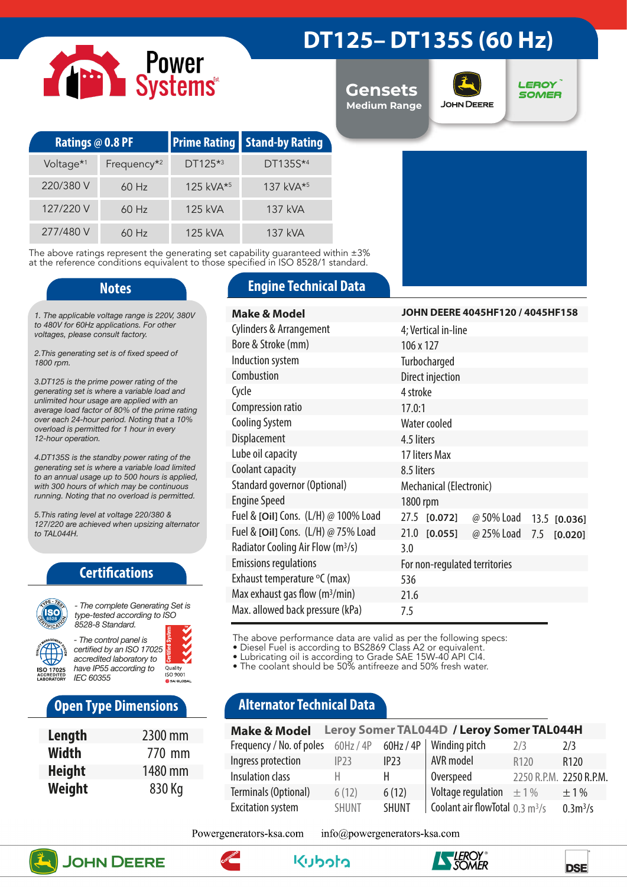# Power<br>Systems

### **DT125– DT135S (60 Hz)**

**Gensets Medium Range**



**LEROY SOMER** 

| Ratings @ 0.8 PF      |                         |                       | <b>Prime Rating Stand-by Rating</b> |  |
|-----------------------|-------------------------|-----------------------|-------------------------------------|--|
| Voltage <sup>*1</sup> | Frequency <sup>*2</sup> | $DT125**3$            | DT135S*4                            |  |
| 220/380 V             | $60$ Hz                 | 125 kVA <sup>*5</sup> | 137 kVA <sup>*5</sup>               |  |
| 127/220 V             | $60$ Hz                 | 125 kVA               | 137 kVA                             |  |
| 277/480 V             | 60 Hz                   | 125 kVA               | $137$ kVA                           |  |

The above ratings represent the generating set capability guaranteed within ±3% at the reference conditions equivalent to those specified in ISO 8528/1 standard.

*1. The applicable voltage range is 220V, 380V to 480V for 60Hz applications. For other voltages, please consult factory.* 

*2.This generating set is of fixed speed of 1800 rpm.*

*3.DT125 is the prime power rating of the generating set is where a variable load and unlimited hour usage are applied with an average load factor of 80% of the prime rating over each 24-hour period. Noting that a 10% overload is permitted for 1 hour in every 12-hour operation.*

*4.DT135S is the standby power rating of the generating set is where a variable load limited to an annual usage up to 500 hours is applied, with 300 hours of which may be continuous running. Noting that no overload is permitted.*

*5.This rating level at voltage 220/380 & 127/220 are achieved when upsizing alternator to TAL044H.*

### **Certifications**



*type-tested according to ISO 8528-8 Standard. - The control panel is* 

*certified by an ISO 17025 accredited laboratory to have IP55 according to*  Quality<br>ISO 9001 *IEC 60355*

### **Open Type Dimensions**

| Length        | 2300 mm |
|---------------|---------|
| Width         | 770 mm  |
| <b>Height</b> | 1480 mm |
| Weight        | 830 Kg  |

### **Notes Engine Technical Data**

| <b>Make &amp; Model</b>                       | JOHN DEERE 4045HF120 / 4045HF158             |  |  |  |  |
|-----------------------------------------------|----------------------------------------------|--|--|--|--|
| <b>Cylinders &amp; Arrangement</b>            | 4; Vertical in-line                          |  |  |  |  |
| Bore & Stroke (mm)                            | 106 x 127                                    |  |  |  |  |
| Induction system                              | Turbocharged                                 |  |  |  |  |
| Combustion                                    | Direct injection                             |  |  |  |  |
| Cycle                                         | 4 stroke                                     |  |  |  |  |
| Compression ratio                             | 17.0:1                                       |  |  |  |  |
| <b>Cooling System</b>                         | Water cooled                                 |  |  |  |  |
| Displacement                                  | 4.5 liters                                   |  |  |  |  |
| Lube oil capacity                             | 17 liters Max                                |  |  |  |  |
| Coolant capacity                              | 8.5 liters                                   |  |  |  |  |
| Standard governor (Optional)                  | Mechanical (Electronic)                      |  |  |  |  |
| <b>Engine Speed</b>                           | 1800 rpm                                     |  |  |  |  |
| Fuel & [Oil] Cons. (L/H) @ 100% Load          | 27.5 [0.072]<br>@ 50% Load<br>13.5 [0.036]   |  |  |  |  |
| Fuel & [Oil] Cons. (L/H) @ 75% Load           | 21.0 [0.055]<br>@ 25% Load<br>7.5<br>[0.020] |  |  |  |  |
| Radiator Cooling Air Flow (m <sup>3</sup> /s) | 3.0                                          |  |  |  |  |
| <b>Emissions regulations</b>                  | For non-regulated territories                |  |  |  |  |
| Exhaust temperature °C (max)                  | 536                                          |  |  |  |  |
| Max exhaust gas flow $(m^3/min)$              | 21.6                                         |  |  |  |  |
| Max. allowed back pressure (kPa)              | 7.5                                          |  |  |  |  |

The above performance data are valid as per the following specs:

• Diesel Fuel is according to BS2869 Class A2 or equivalent.

• Lubricating oil is according to Grade SAE 15W-40 API CI4.

• The coolant should be 50% antifreeze and 50% fresh water.

### **Alternator Technical Data**

| Leroy Somer TAL044D / Leroy Somer TAL044H<br><b>Make &amp; Model</b> |              |              |                                            |                         |                     |
|----------------------------------------------------------------------|--------------|--------------|--------------------------------------------|-------------------------|---------------------|
| Frequency / No. of poles                                             | $60$ Hz / 4P | $60$ Hz / 4P | Winding pitch                              | 7/3                     | 7/3                 |
| Ingress protection                                                   | IP23         | IP23         | AVR model                                  | R <sub>120</sub>        | R <sub>120</sub>    |
| Insulation class                                                     | н            | н            | Overspeed                                  | 2250 R.P.M. 2250 R.P.M. |                     |
| Terminals (Optional)                                                 | 6(12)        | 6(12)        | Voltage regulation $\pm 1\%$               |                         | $\pm$ 1%            |
| <b>Excitation system</b>                                             | <b>SHUNT</b> | <b>SHUNT</b> | Coolant air flowTotal $0.3 \text{ m}^3$ /s |                         | 0.3 <sup>3</sup> /s |

Powergenerators-ksa.com info@powergenerators-ksa.com









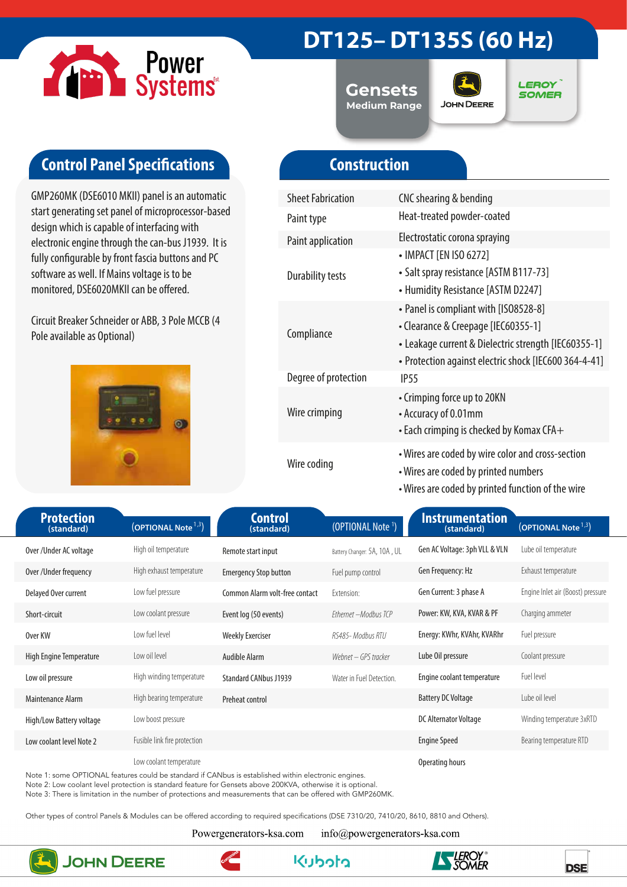

## **DT125– DT135S (60 Hz)**

**Gensets Medium Range**



**LEROY SOMER** 

### **Control Panel Specifications**

GMP260MK (DSE6010 MKII) panel is an automatic start generating set panel of microprocessor-based design which is capable of interfacing with electronic engine through the can-bus J1939. It is fully configurable by front fascia buttons and PC software as well. If Mains voltage is to be monitored, DSE6020MKII can be offered.

Circuit Breaker Schneider or ABB, 3 Pole MCCB (4 Pole available as Optional)



### **Construction**

| <b>Sheet Fabrication</b> | CNC shearing & bending                                                                                                                                                                        |  |  |
|--------------------------|-----------------------------------------------------------------------------------------------------------------------------------------------------------------------------------------------|--|--|
| Paint type               | Heat-treated powder-coated                                                                                                                                                                    |  |  |
| <b>Paint application</b> | Electrostatic corona spraying                                                                                                                                                                 |  |  |
| <b>Durability tests</b>  | • IMPACT [EN ISO 6272]<br>• Salt spray resistance [ASTM B117-73]<br>• Humidity Resistance [ASTM D2247]                                                                                        |  |  |
| Compliance               | • Panel is compliant with [ISO8528-8]<br>• Clearance & Creepage [IEC60355-1]<br>• Leakage current & Dielectric strength [IEC60355-1]<br>• Protection against electric shock [IEC600 364-4-41] |  |  |
| Degree of protection     | <b>IP55</b>                                                                                                                                                                                   |  |  |
| Wire crimping            | • Crimping force up to 20KN<br>• Accuracy of 0.01mm<br>$\cdot$ Each crimping is checked by Komax CFA $+$                                                                                      |  |  |
| Wire coding              | • Wires are coded by wire color and cross-section<br>• Wires are coded by printed numbers<br>• Wires are coded by printed function of the wire                                                |  |  |

| <b>Protection</b><br>(standard) | (OPTIONAL Note <sup>1,3</sup> ) | <b>Control</b><br>(standard)   | (OPTIONAL Note <sup>1</sup> ) | Instrumentation<br>(standard) | (OPTIONAL Note <sup>1,3</sup> )   |  |
|---------------------------------|---------------------------------|--------------------------------|-------------------------------|-------------------------------|-----------------------------------|--|
| Over/Under AC voltage           | High oil temperature            | Remote start input             | Battery Changer: 5A, 10A, UL  | Gen AC Voltage: 3ph VLL & VLN | Lube oil temperature              |  |
| Over /Under frequency           | High exhaust temperature        | <b>Emergency Stop button</b>   | Fuel pump control             | Gen Frequency: Hz             | Exhaust temperature               |  |
| Delayed Over current            | Low fuel pressure               | Common Alarm volt-free contact | Extension:                    | Gen Current: 3 phase A        | Engine Inlet air (Boost) pressure |  |
| Short-circuit                   | Low coolant pressure            | Event log (50 events)          | Ethernet - Modbus TCP         | Power: KW, KVA, KVAR & PF     | Charging ammeter                  |  |
| Over KW                         | Low fuel level                  | <b>Weekly Exerciser</b>        | RS485- Modbus RTU             | Energy: KWhr, KVAhr, KVARhr   | Fuel pressure                     |  |
| High Engine Temperature         | Low oil level                   | Audible Alarm                  | Webnet – GPS tracker          | Lube Oil pressure             | Coolant pressure                  |  |
| Low oil pressure                | High winding temperature        | <b>Standard CANbus J1939</b>   | Water in Fuel Detection.      | Engine coolant temperature    | Fuel level                        |  |
| Maintenance Alarm               | High bearing temperature        | Preheat control                |                               | <b>Battery DC Voltage</b>     | Lube oil level                    |  |
| High/Low Battery voltage        | Low boost pressure              |                                |                               | DC Alternator Voltage         | Winding temperature 3xRTD         |  |
| Low coolant level Note 2        | Fusible link fire protection    |                                |                               | <b>Engine Speed</b>           | Bearing temperature RTD           |  |
|                                 | Low coolant temperature         |                                |                               | Operating hours               |                                   |  |

Note 1: some OPTIONAL features could be standard if CANbus is established within electronic engines.

Note 2: Low coolant level protection is standard feature for Gensets above 200KVA, otherwise it is optional.

Note 3: There is limitation in the number of protections and measurements that can be offered with GMP260MK.

Other types of control Panels & Modules can be offered according to required specifications (DSE 7310/20, 7410/20, 8610, 8810 and Others).

Powergenerators-ksa.com

info@powergenerators-ksa.com



**JOHN DEERE**